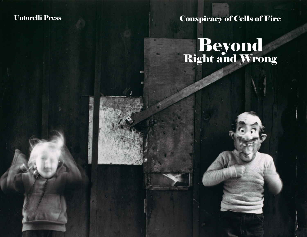## Untorelli Press

# Conspiracy of Cells of Fire

# **Beyond**<br>Right and Wrong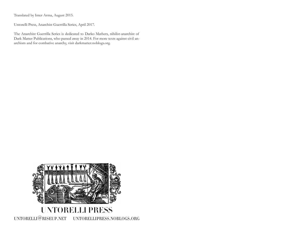Translated by Inter Arma, August 2015.

Untorelli Press, Anarchist Guerrilla Series, April 2017.

The Anarchist Guerrilla Series is dedicated to Darko Mathers, nihilist-anarchist of Dark Matter Publications, who passed away in 2014. For more texts against civil anarchism and for combative anarchy, visit darkmatter.noblogs.org.

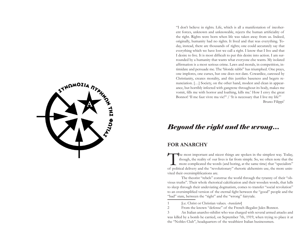

"I don't believe in rights. Life, which is all a manifestation of incoherent forces, unknown and unknowable, rejects the human artificiality of the right. Rights were born when life was taken away from us. Indeed, originally, humanity had no rights. It lived and that was everything. Today, instead, there are thousands of rights; one could accurately say that everything which we have lost we call a right. I know that I live and that I desire to live. It is most difficult to put this desire into action. I am surrounded by a humanity that wants what everyone else wants. My isolated affirmation is a most serious crime. Laws and morals, in competition, intimidate and persuade me. The 'blonde rabbi'<sup>1</sup> has triumphed. One prays, one implores, one curses, but one does not dare. Cowardice, caressed by Christianity, creates morality, and this justifies baseness and begets renunciation. […] Society, on the other hand, modest and clean in appearance, but horribly infected with gangrene throughout its body, makes me vomit, fills me with horror and loathing, kills me.' How I envy the great Bonnot! 'Il me faut vivre ma vie!'<sup>2</sup> / 'It is necessary that I live my life" Bruno Filippi<sup>3</sup>

### *Beyond the right and the wrong…*

#### **FOR ANARCHY**

The most important and nicest things are spoken in the simplest way. Today, though, the reality of our lives is far from simple. So, we often note that the more complicated the words (and boring, at the same time) that "sp though, the reality of our lives is far from simple. So, we often note that the more complicated the words (and boring, at the same time) that "specialists" of political delivery and the "revolutionary" rhetoric alchemists use, the more uninvited their oversimplifications are.

The theorist "rebels" construe the world through the tyranny of their "obvious truths". Their whole rhetorical calcification and their wooden words, that lulls to sleep through their undeviating dogmatism, comes to transfer "social revolution" to an oversimplified version of the eternal fight between the "good" people and the "bad" state, between the "right" and the "wrong" fairytale.

1 [i.e. Christ or Christian values. -*translator*]

3 An Italian anarcho-nihilist who was charged with several armed attacks and was killed by a bomb he carried, on September 7th, 1919, when trying to place it at the "Nobles Club", headquarters of the wealthiest Italian businessmen.

<sup>2</sup> From the known "defense" of the French illegalist Jules Bonnot.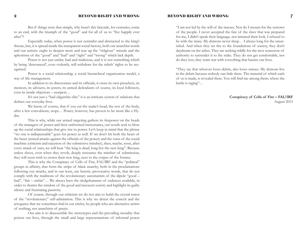#### 2 BEYOND RIGHT AND WRONG

But if things were that simple, why hasn't this fairytale, for centuries, come to an end, with the triumph of the "good" and for all of us to "live happily ever after"?

Especially today, when power is not centralist and abstracted to the king's throne, but, it is spread inside the transparent social factory, both our anarchist words and our actions ought to deepen more and tear up the "religious" missals and the aphorisms of the "good" and "bad" and "right" and "wrong" which lack depth.

Power is not just unfair, bad and malicious, and it is not something which by being 'denounced', even violently, will withdraw for the rebels' rights to be recognised.

Power is a social relationship, a social hierarchical organization model, a way of life management.

In addition to its directorates and its officials, it owns its own preachers, its mentors, its advisers, its jesters, its armed defendants of course, its loyal followers, even its inside objectors – usurpers…

It's not just a "bad oligarchic elite" it is an intricate system of relations that defines our everyday lives.

We know, of course, that if you cut the snake's head, the rest of the body, after a few convulsions, stops… Power, however, has proven to be more like a Hydra.

This is why, while our armed targeting gathers its firepower on the heads of the managers of power and their uniformed mercenaries, our words seek to blow up the social relationships that give rise to power. Let's keep in mind that the phrase "no one is indispensable" goes for power as well. If we don't hit both the heart of the beast (armed attacks against the officials of the power) and the veins of the social machine (criticism and rejection of the submissive mindset), then, maybe, soon, after every attack of ours, we will hear "the king is dead, long live the new king". Because unless slaves, even when they revolt, deeply renounce the mindset of submission, they will soon wish to crown their new king, next to the corpse of the former.

This is why the Conspiracy of Cells of Fire, FAI/IRF and the "political" groups in affinity, that form the stripe of black anarchy, both in the proclamations following our attacks, and in our texts, use heretic, provocative words, that do not comply with the traditions of the revolutionary automatism of the dipole "good – bad", "fair – unfair"… We always have the sledgehammer of rudeness available, in order to shatter the window of the good and innocent society and highlight its guilty silence and frustrating passivity.

Of course, through our criticism we do not aim to build the crystal tower of the "revolutionary" self-admiration. This is why we detest the conceit and the arrogance that we sometimes find in our circles, by people who are alternative artists of nothing, not anarchists of praxis.

Our aim is to disassemble the stereotypes and the prevailing morality that poison our lives, through the small and large representations of informal power

#### BEYOND RIGHT AND WRONG  $\hspace{28mm} 7$

"I am not led by the will of the masses. Nor do I mourn for the sorrows of the people. I never accepted the fate of the slave that was prepared for me, I didn't speak their language, nor imitated their look. I refused to be with the many. My demons never sleep… I always long for the unsatisfied. And when they set fire to the foundations of society, they don't daydream on the ashes. They are seeking wildly for the next scarecrow of authority to surrender it to the stake. They do not get comfortable, nor do they rest, they want war with everything that haunts our lives.

"They say that whoever loves debris, also loves statues. My demons live in the debris because nobody can hide there. The material of which each of us is made, is revealed there. You will find me among them, where the battle is raging"…

> **Conspiracy of Cells of Fire – FAI/IRF** August 2015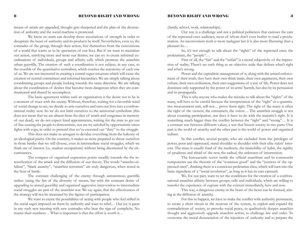means of attack are upgraded, thought gets sharpened and the plan of the destruction of authority and the social machine is promoted.

We know no team can develop those associations of strength in order to decapitate the beast of authority and its products by itself. Nevertheless, even so, the comrades of the group, through their action, free themselves from the conventions of a world that wants us to be spectators of our lives. But if we want to maximize our action, satisfying more and more our desires, we can try to create informal coordinations of individuals, groups and affinity cells which promote the anarchist urban guerrilla. The creation of such a coordination is not subject, in any case, to the crucible of the quantitative centralism, which crushes the autonomy of each one of us. We are not interested in creating a central super-structure which will cause the creation of central committees and informal hierarchies. We are simply talking about coordinating groups and people looking towards the same direction. We are talking about the coordination of desires that become more dangerous when they are communicated and shared by accomplices.

The basic agreement within such an organization is the desire not to be in a moment of truce with the enemy. Without, therefore, waiting for a favorable wind of social change to act, we decide to arm ourselves and turn our lives into a confrontational reality now. So we do not limit ourselves to the anniversal symbolism (this does not mean that we are absent from the days of wrath and vengeance in memory of our dead), we do not expect fixed appointments, waiting for the state to get out of line causing the people to demonstrate, nor are we satisfied by opportunistic street fights with cops, in order to pretend that we've executed our "duty" to the struggle.

This does not make us arrogant to devalue everything from the balcony of an ideological purity. On the contrary, it makes us more prepared to throw ourselves in those battles that we will choose, even in intermediate social struggles, which we think are of interest (i.e. student occupations) without being disoriented by the circumstances.

The compass of organized expression points steadily towards the the intensification of the attack and the diffusion of our theory. The words "anarcho-nihilism", "black anarchy", "anarchist terrorism" are truly dangerous, when tested in the heat of battle.

The constant challenging of the enemy through autonomous guerrilla strikes (using the fan of the diversity of means, but with the constant desire of upgrading to armed guerrilla) and organized aggressive intervention to intermediate social struggles are part of the anarchist war. We say again, that the effectiveness of the strategy will not be measured by the figures of participation.

We want to create the possibilities of acting with people who feel stifled in the social cages imposed on them by authority and want to rebel… Our joy is great in any such new meeting with new comrades who bear the sign of complicity. No matter their numbers… What is important is that the effort is worth it…

#### BEYOND RIGHT AND WRONG  $\qquad \qquad 3$

(family, school, work, relationships).

Our way is a challenge and not a political politeness that caresses the ears of the repressed ones audience, most of whom don't even bother to read a proclamation. An inconvenient truth is more inelegant but it is also more liberating than a pleasant lie…

So, it's not enough to talk about the "rights" of the repressed ones, the proletarians, the "people"…

First of all, the "fair" and the "unfair" is a moral subjectivity of the impression of reality. There's no such thing as an objective scale that defines what's right and what's wrong.

Power and the capitalistic management of it, along with the armed enforcement of their truth, they have their own think tanks, their own arguments, their own culture, their own civilization, their own suggestions of a way of life. Power does not dominate only supported by the power of its arms' barrels, but also by its persuasion and its propaganda.

This is why anyone who makes the mistake to talk about the "rights" of the many, will have to be careful because the interpretation of the "right" as a quantitative measurement unit, will not… prove them right. The right of the many is often the right of the viewers, the consumers, the voters… The anarchist struggle is not about counting participation, nor does it have to do with the majority's right. It is something much bigger than the conflict between the "right" and "wrong"… It is a constant war between different values, a war that bisects society in two parts. One part is the world of anarchy and the other part is the world of power and organized tedium.

In this conflict, several people, who are excluded from the privileges of power, poor and oppressed, stand shoulder to shoulder with their elite rulers' interests. The mass is usually fond of the mediocre, the immobility of habit, the rigidity of prudence and afraid of the new, the radical, the unknown of insurrection.

The bureaucratic sector inside the official anarchism and its communist components use the rhetoric of the "common good" and the "justness of the oppressed ones", thinking there is a conscious proletarian class, which will turn into the basic ingredient of a "social revolution", as long as it has its ears caressed.

We, for our part, want to set the conditions for the creation of a confrontational anarchist affinity between groups, cells and individuals, which are willing to transfer the experience of rupture with the existent immediately, here and now.

This way, a dangerous enemy in the heart of the beast can be formed, aiming at the diffusion of anarchy.

For this to happen, we have to make the conflict with authority permanent, to create a short circuit in the neurons of the system, to exploit and expand the contradictions of society, to provoke social peace, to qualitatively deepen anarchist thought and aggressively upgrade anarchist action, to challenge law and order. To overcome the moral denunciation of the injustices of authority and to prepare the